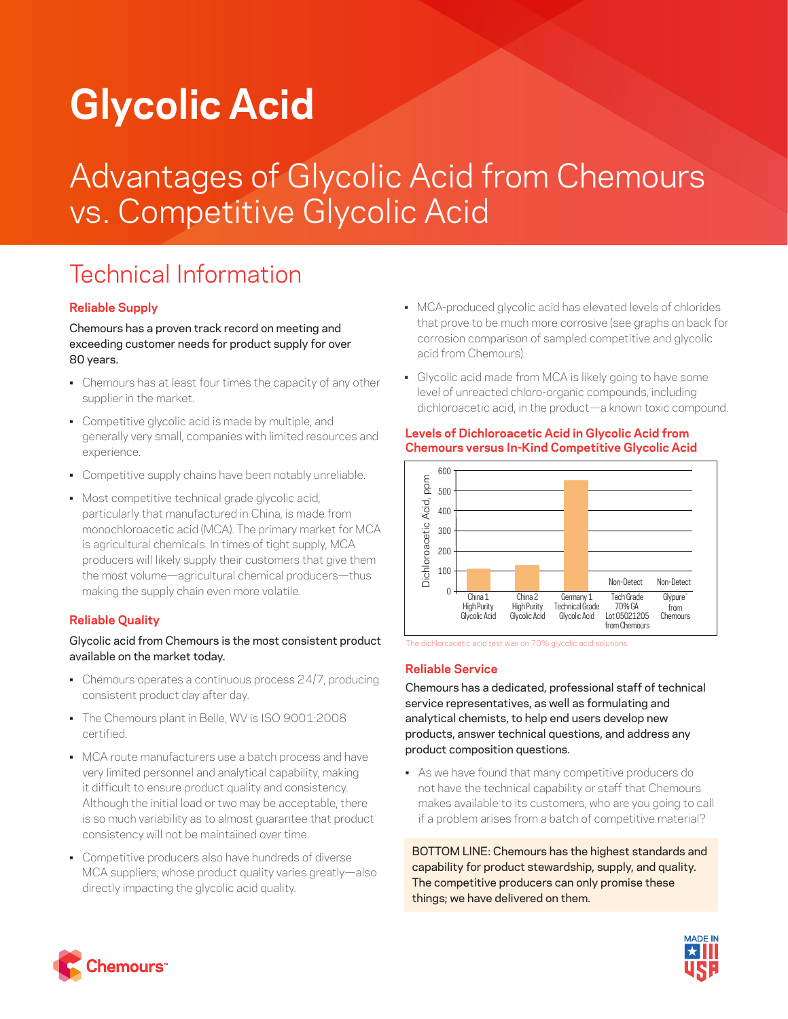# **Glycolic Acid**

## Advantages of Glycolic Acid from Chemours vs. Competitive Glycolic Acid

### Technical Information

#### **Reliable Supply**

Chemours has a proven track record on meeting and exceeding customer needs for product supply for over 80 years.

- Chemours has at least four times the capacity of any other supplier in the market.
- Competitive glycolic acid is made by multiple, and generally very small, companies with limited resources and experience.
- Competitive supply chains have been notably unreliable.
- Most competitive technical grade glycolic acid, particularly that manufactured in China, is made from monochloroacetic acid (MCA). The primary market for MCA is agricultural chemicals. In times of tight supply, MCA producers will likely supply their customers that give them the most volume—agricultural chemical producers—thus making the supply chain even more volatile.

#### **Reliable Quality**

#### Glycolic acid from Chemours is the most consistent product available on the market today.

- Chemours operates a continuous process 24/7, producing consistent product day after day.
- The Chemours plant in Belle, WV is ISO 9001:2008 certified.
- MCA route manufacturers use a batch process and have very limited personnel and analytical capability, making it difficult to ensure product quality and consistency. Although the initial load or two may be acceptable, there is so much variability as to almost guarantee that product consistency will not be maintained over time.
- Competitive producers also have hundreds of diverse MCA suppliers, whose product quality varies greatly—also directly impacting the glycolic acid quality.
- MCA-produced glycolic acid has elevated levels of chlorides that prove to be much more corrosive (see graphs on back for corrosion comparison of sampled competitive and glycolic acid from Chemours).
- Glycolic acid made from MCA is likely going to have some level of unreacted chloro-organic compounds, including dichloroacetic acid, in the product—a known toxic compound.



#### **Levels of Dichloroacetic Acid in Glycolic Acid from Chemours versus In-Kind Competitive Glycolic Acid**

The dichloroacetic acid test was on 70% glycolic acid solutions.

#### **Reliable Service**

Chemours has a dedicated, professional staff of technical service representatives, as well as formulating and analytical chemists, to help end users develop new products, answer technical questions, and address any product composition questions.

• As we have found that many competitive producers do not have the technical capability or staff that Chemours makes available to its customers, who are you going to call if a problem arises from a batch of competitive material?

BOTTOM LINE: Chemours has the highest standards and capability for product stewardship, supply, and quality. The competitive producers can only promise these things; we have delivered on them.